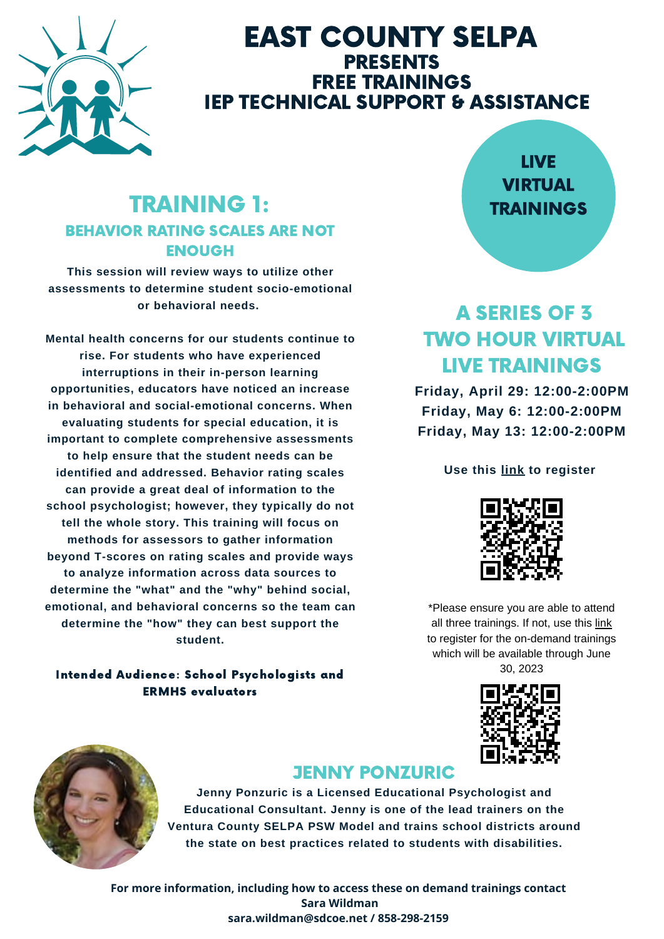

# EAST COUNTY SELPA **PRESENTS** FREE TRAININGS **IEP TECHNICAL SUPPORT & ASSISTANCE**

# TRAINING 1: BEHAVIOR RATING SCALES ARE NOT ENOUGH

**This session will review ways to utilize other assessments to determine student socio-emotional or behavioral needs.**

**Mental health concerns for our students continue to rise. For students who have experienced interruptions in their in-person learning opportunities, educators have noticed an increase in behavioral and social-emotional concerns. When evaluating students for special education, it is important to complete comprehensive assessments to help ensure that the student needs can be identified and addressed. Behavior rating scales can provide a great deal of information to the school psychologist; however, they typically do not tell the whole story. This training will focus on methods for assessors to gather information beyond T-scores on rating scales and provide ways to analyze information across data sources to determine the "what" and the "why" behind social, emotional, and behavioral concerns so the team can determine the "how" they can best support the student.**

#### Intended Audience: School Psychologists and ERMHS evaluators

# LIVE VIRTUAL TRAININGS

# A SERIES OF 3 TWO HOUR VIRTUAL LIVE TRAININGS

**Friday, April 29: [12:00-2:00PM](http://sdcoe.k12oms.org/1035-216168) Friday, May 6: [12:00-2:00PM](http://sdcoe.k12oms.org/1035-216168) Friday, May 13: [12:00-2:00PM](http://sdcoe.k12oms.org/1035-216168)**

#### **Use [this](http://sdcoe.k12oms.org/1035-216168) [link](https://sdcoe.k12oms.org/1035-216168) to [register](http://sdcoe.k12oms.org/1035-216168)**



\*Please ensure you are able to attend all three trainings. If not, use this [link](https://sdcoe.k12oms.org/1035-216188) to register for the on-demand trainings which will be available through June 30, 2023





# JENNY PONZURIC

**Jenny Ponzuric is a Licensed Educational Psychologist and Educational Consultant. Jenny is one of the lead trainers on the Ventura County SELPA PSW Model and trains school districts around the state on best practices related to students with disabilities.**

**For more information, including how to access these on demand trainings contact Sara Wildman sara.wildman@sdcoe.net / 858-298-2159**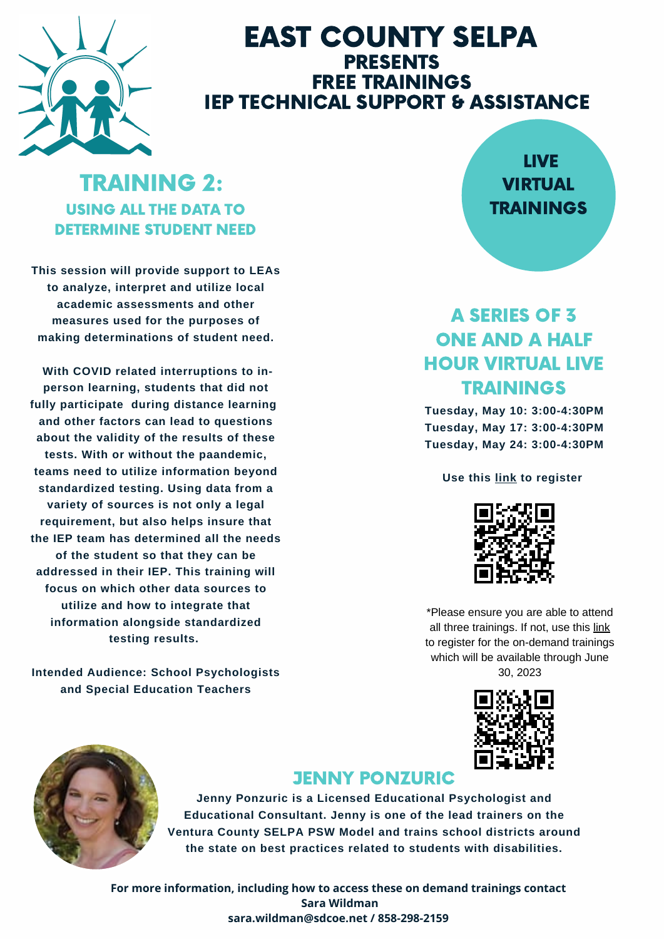

# EAST COUNTY SELPA PRESENTS FREE TRAININGS **IEP TECHNICAL SUPPORT & ASSISTANCE**

# TRAINING 2: USING ALL THE DATA TO DETERMINE STUDENT NEED

**This session will provide support to LEAs to analyze, interpret and utilize local academic assessments and other measures used for the purposes of making determinations of student need.**

**With COVID related interruptions to inperson learning, students that did not fully participate during distance learning and other factors can lead to questions about the validity of the results of these tests. With or without the paandemic, teams need to utilize information beyond standardized testing. Using data from a variety of sources is not only a legal requirement, but also helps insure that the IEP team has determined all the needs of the student so that they can be addressed in their IEP. This training will focus on which other data sources to utilize and how to integrate that information alongside standardized testing results.**

**Intended Audience: School Psychologists and Special Education Teachers**

# LIVE VIRTUAL **TRAININGS**

# A SERIES OF 3 ONE AND A HALF HOUR VIRTUAL LIVE TRAININGS

**Tuesday, May 10: 3:00-4:30PM Tuesday, May 17: 3:00-4:30PM Tuesday, May 24: 3:00-4:30PM**

#### **Use this [link](http://sdcoe.k12oms.org/1035-216202) to register**



\*Please ensure you are able to attend all three trainings. If not, use this [link](https://sdcoe.k12oms.org/1035-216204) to register for the on-demand trainings which will be available through June 30, 2023





## JENNY PONZURIC

**Jenny Ponzuric is a Licensed Educational Psychologist and Educational Consultant. Jenny is one of the lead trainers on the Ventura County SELPA PSW Model and trains school districts around the state on best practices related to students with disabilities.**

**For more information, including how to access these on demand trainings contact Sara Wildman sara.wildman@sdcoe.net / 858-298-2159**